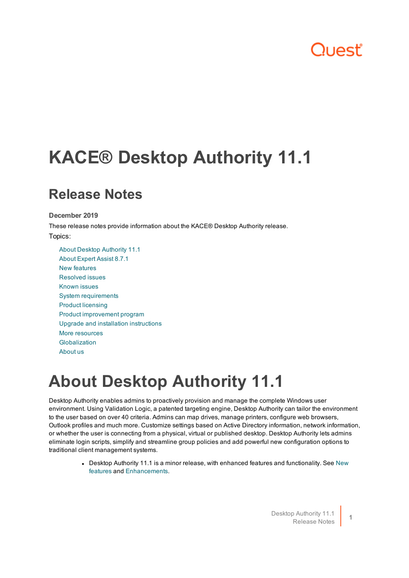## "اعصر ال

# **KACE® Desktop Authority 11.1**

### **Release Notes**

**December 2019**

These release notes provide information about the KACE® Desktop Authority release. Topics:

About Desktop [Authority](#page-0-0) 11.1 About [Expert](#page-1-0) Assist 8.7.1 New [features](#page-1-1) [Resolved](#page-2-0) issues [Known](#page-3-0) issues System [requirements](#page-8-0) Product [licensing](#page-10-0) Product [improvement](#page-11-0) program Upgrade and installation [instructions](#page-11-1) More [resources](#page-11-2) [Globalization](#page-12-0) [About](#page-12-1) us

## <span id="page-0-0"></span>**About Desktop Authority 11.1**

Desktop Authority enables admins to proactively provision and manage the complete Windows user environment. Using Validation Logic, a patented targeting engine, Desktop Authority can tailor the environment to the user based on over 40 criteria. Admins can map drives, manage printers, configure web browsers, Outlook profiles and much more. Customize settings based on Active Directory information, network information, or whether the user is connecting from a physical, virtual or published desktop. Desktop Authority lets admins eliminate login scripts, simplify and streamline group policies and add powerful new configuration options to traditional client management systems.

> • Desktop Authority 11.1 is a minor release, with enhanced features and functionality. See [New](#page-1-1) [features](#page-1-1) and Enhancements.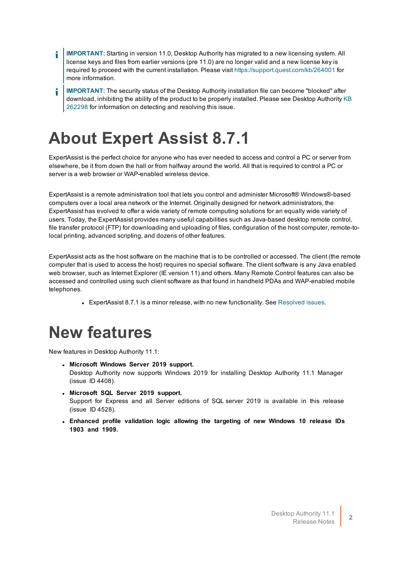- **IMPORTANT:** Starting in version 11.0, Desktop Authority has migrated to a new licensing system. All i license keys and files from earlier versions (pre 11.0) are no longer valid and a new license key is required to proceed with the current installation. Please visit https://support.quest.com/kb/264001 for more information.
- **IMPORTANT:** The security status of the Desktop Authority installation file can become "blocked" after i download, inhibiting the ability of the product to be properly installed. Please see Desktop Authority [KB](https://support.quest.com/kace-desktop-authority/kb/262298/unblock-a-file-before-extracting-or-running-it) [262298](https://support.quest.com/kace-desktop-authority/kb/262298/unblock-a-file-before-extracting-or-running-it) for information on detecting and resolving this issue.

## <span id="page-1-0"></span>**About Expert Assist 8.7.1**

ExpertAssist is the perfect choice for anyone who has ever needed to access and control a PC or server from elsewhere, be it from down the hall or from halfway around the world. All that is required to control a PC or server is a web browser or WAP-enabled wireless device.

ExpertAssist is a remote administration tool that lets you control and administer Microsoft® Windows®-based computers over a local area network or the Internet. Originally designed for network administrators, the ExpertAssist has evolved to offer a wide variety of remote computing solutions for an equally wide variety of users. Today, the ExpertAssist provides many useful capabilities such as Java-based desktop remote control, file transfer protocol (FTP) for downloading and uploading of files, configuration of the host computer, remote-tolocal printing, advanced scripting, and dozens of other features.

ExpertAssist acts as the host software on the machine that is to be controlled or accessed. The client (the remote computer that is used to access the host) requires no special software. The client software is any Java enabled web browser, such as Internet Explorer (IE version 11) and others. Many Remote Control features can also be accessed and controlled using such client software as that found in handheld PDAs and WAP-enabled mobile telephones.

• ExpertAssist 8.7.1 is a minor release, with no new functionality. See [Resolved](#page-2-0) issues.

## <span id="page-1-1"></span>**New features**

New features in Desktop Authority 11.1:

- <sup>l</sup> **Microsoft Windows Server 2019 support.** Desktop Authority now supports Windows 2019 for installing Desktop Authority 11.1 Manager (issue ID 4408).
- <sup>l</sup> **Microsoft SQL Server 2019 support.** Support for Express and all Server editions of SQL server 2019 is available in this release (issue ID 4528).
- <sup>l</sup> **Enhanced profile validation logic allowing the targeting of new Windows 10 release IDs 1903 and 1909.**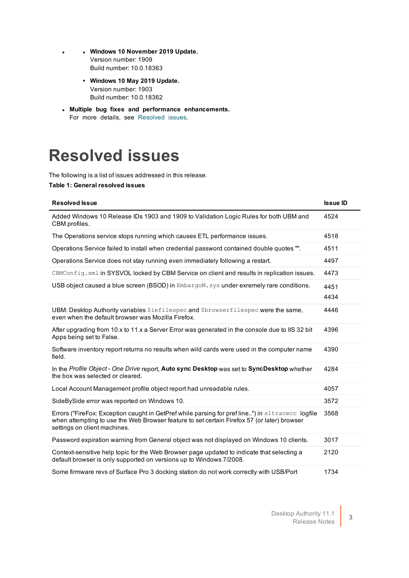- <sup>l</sup> <sup>l</sup> **Windows 10 November 2019 Update.** Version number: 1909 Build number: 10.0.18363
	- <sup>l</sup> **Windows 10 May 2019 Update.** Version number: 1903 Build number: 10.0.18362
- <sup>l</sup> **Multiple bug fixes and performance enhancements.** For more details, see [Resolved](#page-2-0) issues.

## <span id="page-2-0"></span>**Resolved issues**

The following is a list of issues addressed in this release.

#### **Table 1: General resolved issues**

| <b>Resolved Issue</b>                                                                                                                                                                                                           | <b>Issue ID</b> |
|---------------------------------------------------------------------------------------------------------------------------------------------------------------------------------------------------------------------------------|-----------------|
| Added Windows 10 Release IDs 1903 and 1909 to Validation Logic Rules for both UBM and<br>CBM profiles.                                                                                                                          | 4524            |
| The Operations service stops running which causes ETL performance issues.                                                                                                                                                       | 4518            |
| Operations Service failed to install when credential password contained double quotes "".                                                                                                                                       | 4511            |
| Operations Service does not stay running even immediately following a restart.                                                                                                                                                  | 4497            |
| CBMConfig.xml in SYSVOL locked by CBM Service on client and results in replication issues.                                                                                                                                      | 4473            |
| USB object caused a blue screen (BSOD) in EmbargoM. sys under exremely rare conditions.                                                                                                                                         | 4451<br>4434    |
| UBM: Desktop Authority variables Siefilespec and Sbrowserfilespec were the same,<br>even when the default browser was Mozilla Firefox.                                                                                          | 4446            |
| After upgrading from 10.x to 11.x a Server Error was generated in the console due to IIS 32 bit<br>Apps being set to False.                                                                                                     | 4396            |
| Software inventory report returns no results when wild cards were used in the computer name<br>field.                                                                                                                           | 4390            |
| In the Profile Object - One Drive report, Auto sync Desktop was set to SyncDesktop whether<br>the box was selected or cleared.                                                                                                  | 4284            |
| Local Account Management profile object report had unreadable rules.                                                                                                                                                            | 4057            |
| Side By Side error was reported on Windows 10.                                                                                                                                                                                  | 3572            |
| Errors ("FireFox: Exception caught in GetPref while parsing for pref line") in sltracecc logfile<br>when attempting to use the Web Browser feature to set certain Firefox 57 (or later) browser<br>settings on client machines. | 3568            |
| Password expiration warning from General object was not displayed on Windows 10 clients.                                                                                                                                        | 3017            |
| Context-sensitive help topic for the Web Browser page updated to indicate that selecting a<br>default browser is only supported on versions up to Windows 7/2008.                                                               | 2120            |
| Some firmware revs of Surface Pro 3 docking station do not work correctly with USB/Port                                                                                                                                         | 1734            |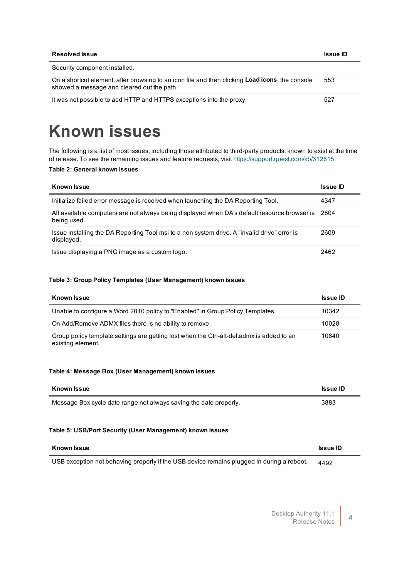| <b>Resolved Issue</b>                                                                                                                         | <b>Issue ID</b> |
|-----------------------------------------------------------------------------------------------------------------------------------------------|-----------------|
| Security component installed.                                                                                                                 |                 |
| On a shortcut element, after browsing to an icon file and then clicking Load icons, the console<br>showed a message and cleared out the path. | 553             |
| It was not possible to add HTTP and HTTPS exceptions into the proxy.                                                                          | 527             |

## <span id="page-3-0"></span>**Known issues**

The following is a list of most issues, including those attributed to third-party products, known to exist at the time of release. To see the remaining issues and feature requests, visit [https://support.quest.com/kb/312615.](https://support.quest.com/kb/312615)

#### **Table 2: General known issues**

| <b>Known Issue</b>                                                                                               | <b>Issue ID</b> |
|------------------------------------------------------------------------------------------------------------------|-----------------|
| Initialize failed error message is received when launching the DA Reporting Tool.                                | 4347            |
| All available computers are not always being displayed when DA's default resource browser is 2804<br>being used. |                 |
| Issue installing the DA Reporting Tool msi to a non system drive. A "invalid drive" error is<br>displayed.       | 2609            |
| Issue displaying a PNG image as a custom logo.                                                                   | 2462            |

#### **Table 3: Group Policy Templates (User Management) known issues**

| <b>Known Issue</b>                                                                                             | <b>Issue ID</b> |
|----------------------------------------------------------------------------------------------------------------|-----------------|
| Unable to configure a Word 2010 policy to "Enabled" in Group Policy Templates.                                 | 10342           |
| On Add/Remove ADMX files there is no ability to remove.                                                        | 10028           |
| Group policy template settings are getting lost when the Ctrl-alt-del.admx is added to an<br>existing element. | 10840           |

#### **Table 4: Message Box (User Management) known issues**

| Known Issue                                                       | <b>Issue ID</b> |
|-------------------------------------------------------------------|-----------------|
| Message Box cycle date range not always saving the date properly. | 3883            |

#### **Table 5: USB/Port Security (User Management) known issues**

| Known Issue |  |  |  | <b>Issue ID</b> |   |  |  |
|-------------|--|--|--|-----------------|---|--|--|
| .           |  |  |  |                 | . |  |  |

USB exception not behaving properly if the USB device remains plugged in during a reboot. 4492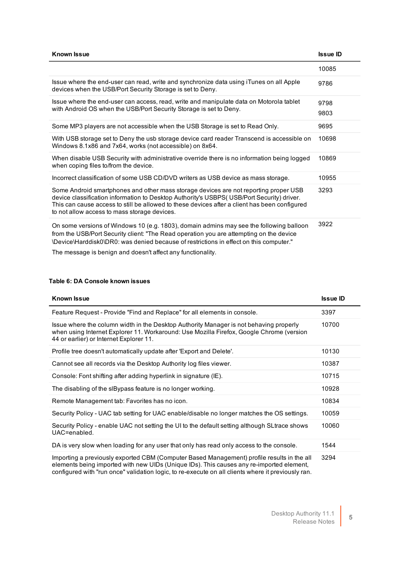| <b>Known Issue</b>                                                                                                                                                                                                                                                                                                                  | <b>Issue ID</b> |
|-------------------------------------------------------------------------------------------------------------------------------------------------------------------------------------------------------------------------------------------------------------------------------------------------------------------------------------|-----------------|
|                                                                                                                                                                                                                                                                                                                                     | 10085           |
| Issue where the end-user can read, write and synchronize data using iTunes on all Apple<br>devices when the USB/Port Security Storage is set to Deny.                                                                                                                                                                               | 9786            |
| Issue where the end-user can access, read, write and manipulate data on Motorola tablet<br>with Android OS when the USB/Port Security Storage is set to Deny.                                                                                                                                                                       | 9798<br>9803    |
| Some MP3 players are not accessible when the USB Storage is set to Read Only.                                                                                                                                                                                                                                                       | 9695            |
| With USB storage set to Deny the usb storage device card reader Transcend is accessible on<br>Windows 8.1x86 and 7x64, works (not accessible) on 8x64.                                                                                                                                                                              | 10698           |
| When disable USB Security with administrative override there is no information being logged<br>when coping files to/from the device.                                                                                                                                                                                                | 10869           |
| Incorrect classification of some USB CD/DVD writers as USB device as mass storage.                                                                                                                                                                                                                                                  | 10955           |
| Some Android smartphones and other mass storage devices are not reporting proper USB<br>device classification information to Desktop Authority's USBPS( USB/Port Security) driver.<br>This can cause access to still be allowed to these devices after a client has been configured<br>to not allow access to mass storage devices. | 3293            |
| On some versions of Windows 10 (e.g. 1803), domain admins may see the following balloon<br>from the USB/Port Security client: "The Read operation you are attempting on the device<br>\Device\Harddisk0\DR0: was denied because of restrictions in effect on this computer."                                                        | 3922            |

The message is benign and doesn't affect any functionality.

#### **Table 6: DA Console known issues**

| <b>Known Issue</b>                                                                                                                                                                                                                                                                           | <b>Issue ID</b> |
|----------------------------------------------------------------------------------------------------------------------------------------------------------------------------------------------------------------------------------------------------------------------------------------------|-----------------|
| Feature Request - Provide "Find and Replace" for all elements in console.                                                                                                                                                                                                                    | 3397            |
| Issue where the column width in the Desktop Authority Manager is not behaving properly<br>when using Internet Explorer 11. Workaround: Use Mozilla Firefox, Google Chrome (version<br>44 or earlier) or Internet Explorer 11.                                                                | 10700           |
| Profile tree doesn't automatically update after 'Export and Delete'.                                                                                                                                                                                                                         | 10130           |
| Cannot see all records via the Desktop Authority log files viewer.                                                                                                                                                                                                                           | 10387           |
| Console: Font shifting after adding hyperlink in signature (IE).                                                                                                                                                                                                                             | 10715           |
| The disabling of the slBypass feature is no longer working.                                                                                                                                                                                                                                  | 10928           |
| Remote Management tab: Favorites has no icon.                                                                                                                                                                                                                                                | 10834           |
| Security Policy - UAC tab setting for UAC enable/disable no longer matches the OS settings.                                                                                                                                                                                                  | 10059           |
| Security Policy - enable UAC not setting the UI to the default setting although SLtrace shows<br>UAC=enabled.                                                                                                                                                                                | 10060           |
| DA is very slow when loading for any user that only has read only access to the console.                                                                                                                                                                                                     | 1544            |
| Importing a previously exported CBM (Computer Based Management) profile results in the all<br>elements being imported with new UIDs (Unique IDs). This causes any re-imported element,<br>configured with "run once" validation logic, to re-execute on all clients where it previously ran. | 3294            |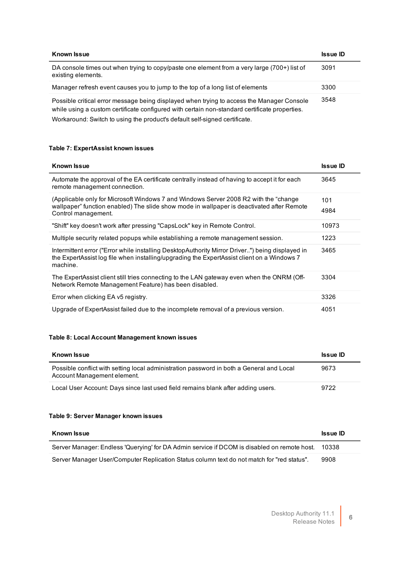| <b>Known Issue</b>                                                                                                                                                                         | <b>Issue ID</b> |
|--------------------------------------------------------------------------------------------------------------------------------------------------------------------------------------------|-----------------|
| DA console times out when trying to copy/paste one element from a very large (700+) list of<br>existing elements.                                                                          | 3091            |
| Manager refresh event causes you to jump to the top of a long list of elements                                                                                                             | 3300            |
| Possible critical error message being displayed when trying to access the Manager Console<br>while using a custom certificate configured with certain non-standard certificate properties. | 3548            |

Workaround: Switch to using the product's default self-signed certificate.

#### **Table 7: ExpertAssist known issues**

| <b>Known Issue</b>                                                                                                                                                                                        | <b>Issue ID</b> |
|-----------------------------------------------------------------------------------------------------------------------------------------------------------------------------------------------------------|-----------------|
| Automate the approval of the EA certificate centrally instead of having to accept it for each<br>remote management connection.                                                                            | 3645            |
| (Applicable only for Microsoft Windows 7 and Windows Server 2008 R2 with the "change"<br>wallpaper" function enabled) The slide show mode in wallpaper is deactivated after Remote<br>Control management. | 101<br>4984     |
| "Shift" key doesn't work after pressing "CapsLock" key in Remote Control.                                                                                                                                 | 10973           |
| Multiple security related popups while establishing a remote management session.                                                                                                                          | 1223            |
| Intermittent error ("Error while installing DesktopAuthority Mirror Driver") being displayed in<br>the ExpertAssist log file when installing/upgrading the ExpertAssist client on a Windows 7<br>machine. | 3465            |
| The ExpertAssist client still tries connecting to the LAN gateway even when the ONRM (Off-<br>Network Remote Management Feature) has been disabled.                                                       | 3304            |
| Error when clicking EA v5 registry.                                                                                                                                                                       | 3326            |
| Upgrade of ExpertAssist failed due to the incomplete removal of a previous version.                                                                                                                       | 4051            |

#### **Table 8: Local Account Management known issues**

| <b>Known Issue</b>                                                                                                      | <b>Issue ID</b> |
|-------------------------------------------------------------------------------------------------------------------------|-----------------|
| Possible conflict with setting local administration password in both a General and Local<br>Account Management element. | 9673            |
| Local User Account: Days since last used field remains blank after adding users.                                        | 9722            |

#### **Table 9: Server Manager known issues**

| Known Issue                                                                                 | <b>Issue ID</b> |
|---------------------------------------------------------------------------------------------|-----------------|
| Server Manager: Endless 'Querying' for DA Admin service if DCOM is disabled on remote host. | 10338           |
| Server Manager User/Computer Replication Status column text do not match for "red status".  | 9908            |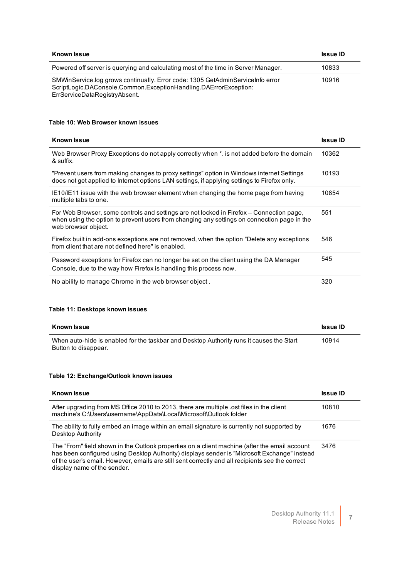| Known Issue                                                                                                                                                                         | <b>Issue ID</b> |
|-------------------------------------------------------------------------------------------------------------------------------------------------------------------------------------|-----------------|
| Powered off server is querying and calculating most of the time in Server Manager.                                                                                                  | 10833           |
| SMWinService.log grows continually. Error code: 1305 GetAdminServiceInfo error<br>ScriptLogic.DAConsole.Common.ExceptionHandling.DAErrorException:<br>ErrServiceDataRegistryAbsent. | 10916           |

#### **Table 10: Web Browser known issues**

| <b>Known Issue</b>                                                                                                                                                                                             | <b>Issue ID</b> |
|----------------------------------------------------------------------------------------------------------------------------------------------------------------------------------------------------------------|-----------------|
| Web Browser Proxy Exceptions do not apply correctly when *. is not added before the domain<br>& suffix.                                                                                                        | 10362           |
| "Prevent users from making changes to proxy settings" option in Windows internet Settings<br>does not get applied to Internet options LAN settings, if applying settings to Firefox only.                      | 10193           |
| IE10/IE11 issue with the web browser element when changing the home page from having<br>multiple tabs to one.                                                                                                  | 10854           |
| For Web Browser, some controls and settings are not locked in Firefox – Connection page,<br>when using the option to prevent users from changing any settings on connection page in the<br>web browser object. | 551             |
| Firefox built in add-ons exceptions are not removed, when the option "Delete any exceptions"<br>from client that are not defined here" is enabled.                                                             | 546             |
| Password exceptions for Firefox can no longer be set on the client using the DA Manager<br>Console, due to the way how Firefox is handling this process now.                                                   | 545             |
| No ability to manage Chrome in the web browser object.                                                                                                                                                         | 320             |

#### **Table 11: Desktops known issues**

| Known Issue                                                                                                      | <b>Issue ID</b> |
|------------------------------------------------------------------------------------------------------------------|-----------------|
| When auto-hide is enabled for the taskbar and Desktop Authority runs it causes the Start<br>Button to disappear. | 10914           |

#### **Table 12: Exchange/Outlook known issues**

| Known Issue                                                                                                                                                                                                                                                                                                                      | <b>Issue ID</b> |
|----------------------------------------------------------------------------------------------------------------------------------------------------------------------------------------------------------------------------------------------------------------------------------------------------------------------------------|-----------------|
| After upgrading from MS Office 2010 to 2013, there are multiple ost files in the client<br>machine's C:\Users\username\AppData\Local\Microsoft\Outlook folder                                                                                                                                                                    | 10810           |
| The ability to fully embed an image within an email signature is currently not supported by<br>Desktop Authority                                                                                                                                                                                                                 | 1676            |
| The "From" field shown in the Outlook properties on a client machine (after the email account<br>has been configured using Desktop Authority) displays sender is "Microsoft Exchange" instead<br>of the user's email. However, emails are still sent correctly and all recipients see the correct<br>display name of the sender. | 3476            |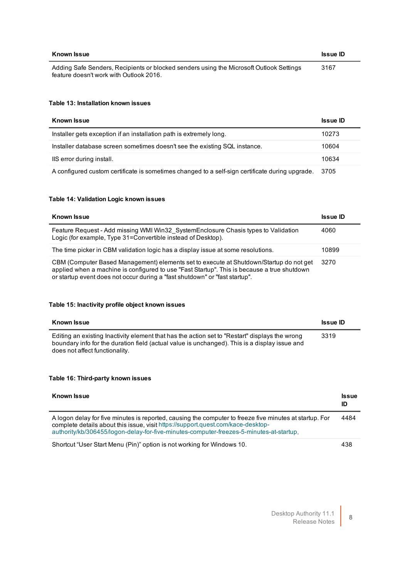| Known Issue                                                                                                                        | <b>Issue ID</b> |
|------------------------------------------------------------------------------------------------------------------------------------|-----------------|
| Adding Safe Senders, Recipients or blocked senders using the Microsoft Outlook Settings<br>feature doesn't work with Outlook 2016. | 3167            |

#### **Table 13: Installation known issues**

| <b>Known Issue</b>                                                                              | <b>Issue ID</b> |
|-------------------------------------------------------------------------------------------------|-----------------|
| Installer gets exception if an installation path is extremely long.                             | 10273           |
| Installer database screen sometimes doesn't see the existing SQL instance.                      | 10604           |
| IIS error during install.                                                                       | 10634           |
| A configured custom certificate is sometimes changed to a self-sign certificate during upgrade. | 3705            |

#### **Table 14: Validation Logic known issues**

| Known Issue                                                                                                                                                                                                                                                          | <b>Issue ID</b> |
|----------------------------------------------------------------------------------------------------------------------------------------------------------------------------------------------------------------------------------------------------------------------|-----------------|
| Feature Request - Add missing WMI Win32 System Enclosure Chasis types to Validation<br>Logic (for example, Type 31=Convertible instead of Desktop).                                                                                                                  | 4060            |
| The time picker in CBM validation logic has a display issue at some resolutions.                                                                                                                                                                                     | 10899           |
| CBM (Computer Based Management) elements set to execute at Shutdown/Startup do not get<br>applied when a machine is configured to use "Fast Startup". This is because a true shutdown<br>or startup event does not occur during a "fast shutdown" or "fast startup". | 3270            |

#### **Table 15: Inactivity profile object known issues**

| Known Issue                                                                                                                                                                                                                       | <b>Issue ID</b> |
|-----------------------------------------------------------------------------------------------------------------------------------------------------------------------------------------------------------------------------------|-----------------|
| Editing an existing Inactivity element that has the action set to "Restart" displays the wrong<br>boundary info for the duration field (actual value is unchanged). This is a display issue and<br>does not affect functionality. | 3319            |

#### **Table 16: Third-party known issues**

| Known Issue                                                                                                                                                                                                                                                                            | <b>Issue</b><br>ID |
|----------------------------------------------------------------------------------------------------------------------------------------------------------------------------------------------------------------------------------------------------------------------------------------|--------------------|
| A logon delay for five minutes is reported, causing the computer to freeze five minutes at startup. For<br>complete details about this issue, visit https://support.quest.com/kace-desktop-<br>authority/kb/306455/logon-delay-for-five-minutes-computer-freezes-5-minutes-at-startup. | 4484               |
| Shortcut "User Start Menu (Pin)" option is not working for Windows 10.                                                                                                                                                                                                                 | 438                |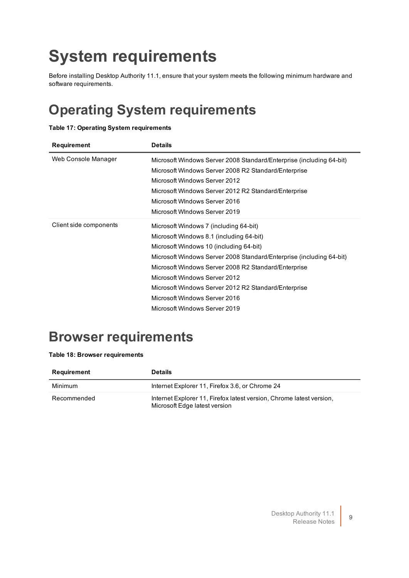# <span id="page-8-0"></span>**System requirements**

Before installing Desktop Authority 11.1, ensure that your system meets the following minimum hardware and software requirements.

### **Operating System requirements**

#### **Table 17: Operating System requirements**

| Requirement            | <b>Details</b>                                                       |
|------------------------|----------------------------------------------------------------------|
| Web Console Manager    | Microsoft Windows Server 2008 Standard/Enterprise (including 64-bit) |
|                        | Microsoft Windows Server 2008 R2 Standard/Enterprise                 |
|                        | Microsoft Windows Server 2012                                        |
|                        | Microsoft Windows Server 2012 R2 Standard/Enterprise                 |
|                        | Microsoft WIndows Server 2016                                        |
|                        | Microsoft WIndows Server 2019                                        |
| Client side components | Microsoft Windows 7 (including 64-bit)                               |
|                        | Microsoft Windows 8.1 (including 64-bit)                             |
|                        | Microsoft Windows 10 (including 64-bit)                              |
|                        | Microsoft Windows Server 2008 Standard/Enterprise (including 64-bit) |
|                        | Microsoft Windows Server 2008 R2 Standard/Enterprise                 |
|                        | Microsoft Windows Server 2012                                        |
|                        | Microsoft Windows Server 2012 R2 Standard/Enterprise                 |
|                        | Microsoft Windows Server 2016                                        |
|                        | Microsoft Windows Server 2019                                        |

### **Browser requirements**

#### **Table 18: Browser requirements**

| Requirement | <b>Details</b>                                                                                        |
|-------------|-------------------------------------------------------------------------------------------------------|
| Minimum     | Internet Explorer 11, Firefox 3.6, or Chrome 24                                                       |
| Recommended | Internet Explorer 11, Firefox latest version, Chrome latest version,<br>Microsoft Edge latest version |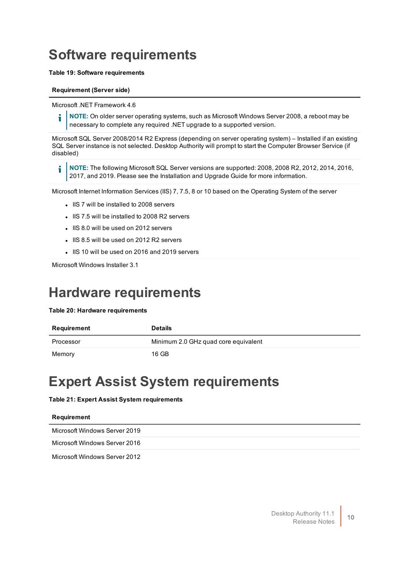### **Software requirements**

#### **Table 19: Software requirements**

#### **Requirement (Server side)**

Microsoft .NET Framework 4.6

**NOTE:** On older server operating systems, such as Microsoft Windows Server 2008, a reboot may be i necessary to complete any required .NET upgrade to a supported version.

Microsoft SQL Server 2008/2014 R2 Express (depending on server operating system) – Installed if an existing SQL Server instance is not selected. Desktop Authority will prompt to start the Computer Browser Service (if disabled)

i **NOTE:** The following Microsoft SQL Server versions are supported: 2008, 2008 R2, 2012, 2014, 2016, 2017, and 2019. Please see the Installation and Upgrade Guide for more information.

Microsoft Internet Information Services (IIS) 7, 7.5, 8 or 10 based on the Operating System of the server

- IS 7 will be installed to 2008 servers
- IIS 7.5 will be installed to 2008 R2 servers
- IIS 8.0 will be used on 2012 servers
- IIS 8.5 will be used on 2012 R2 servers
- IIS 10 will be used on 2016 and 2019 servers

Microsoft Windows Installer 3.1

### **Hardware requirements**

#### **Table 20: Hardware requirements**

| Requirement | <b>Details</b>                       |
|-------------|--------------------------------------|
| Processor   | Minimum 2.0 GHz quad core equivalent |
| Memory      | 16 GB                                |

### **Expert Assist System requirements**

#### **Table 21: Expert Assist System requirements**

#### **Requirement**

Microsoft Windows Server 2019

Microsoft Windows Server 2016

Microsoft Windows Server 2012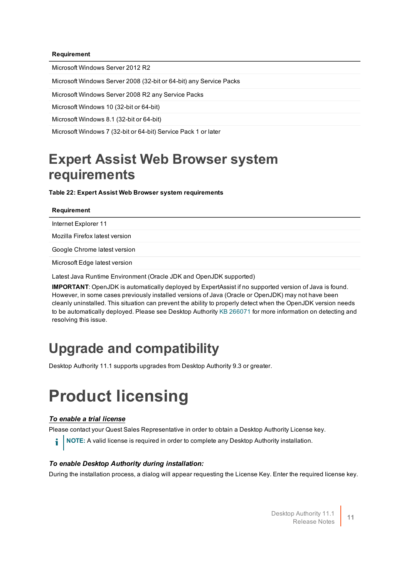#### **Requirement**

Microsoft Windows Server 2012 R2

Microsoft Windows Server 2008 (32-bit or 64-bit) any Service Packs

Microsoft Windows Server 2008 R2 any Service Packs

Microsoft Windows 10 (32-bit or 64-bit)

Microsoft Windows 8.1 (32-bit or 64-bit)

Microsoft Windows 7 (32-bit or 64-bit) Service Pack 1 or later

### **Expert Assist Web Browser system requirements**

**Table 22: Expert Assist Web Browser system requirements**

#### **Requirement**

Internet Explorer 11

Mozilla Firefox latest version

Google Chrome latest version

Microsoft Edge latest version

Latest Java Runtime Environment (Oracle JDK and OpenJDK supported)

**IMPORTANT**: OpenJDK is automatically deployed by ExpertAssist if no supported version of Java is found. However, in some cases previously installed versions of Java (Oracle or OpenJDK) may not have been cleanly uninstalled. This situation can prevent the ability to properly detect when the OpenJDK version needs to be automatically deployed. Please see Desktop Authority KB [266071](https://support.quest.com/kb/266071) for more information on detecting and resolving this issue.

### **Upgrade and compatibility**

<span id="page-10-0"></span>Desktop Authority 11.1 supports upgrades from Desktop Authority 9.3 or greater.

## **Product licensing**

#### *To enable a trial license*

Please contact your Quest Sales Representative in order to obtain a Desktop Authority License key.

**i** NOTE: A valid license is required in order to complete any Desktop Authority installation.

#### *To enable Desktop Authority during installation:*

During the installation process, a dialog will appear requesting the License Key. Enter the required license key.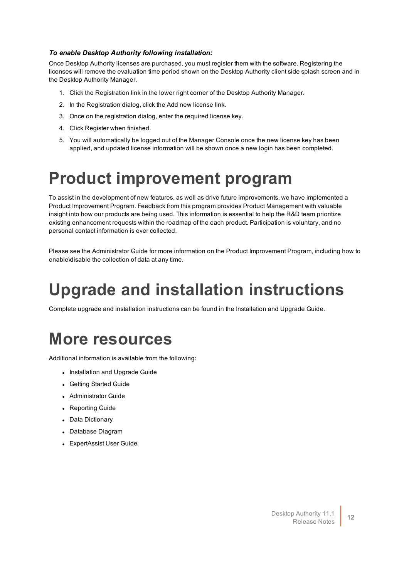#### *To enable Desktop Authority following installation:*

Once Desktop Authority licenses are purchased, you must register them with the software. Registering the licenses will remove the evaluation time period shown on the Desktop Authority client side splash screen and in the Desktop Authority Manager.

- 1. Click the Registration link in the lower right corner of the Desktop Authority Manager.
- 2. In the Registration dialog, click the Add new license link.
- 3. Once on the registration dialog, enter the required license key.
- 4. Click Register when finished.
- <span id="page-11-0"></span>5. You will automatically be logged out of the Manager Console once the new license key has been applied, and updated license information will be shown once a new login has been completed.

## **Product improvement program**

To assist in the development of new features, as well as drive future improvements, we have implemented a Product Improvement Program. Feedback from this program provides Product Management with valuable insight into how our products are being used. This information is essential to help the R&D team prioritize existing enhancement requests within the roadmap of the each product. Participation is voluntary, and no personal contact information is ever collected.

<span id="page-11-1"></span>Please see the Administrator Guide for more information on the Product Improvement Program, including how to enable\disable the collection of data at any time.

# **Upgrade and installation instructions**

<span id="page-11-2"></span>Complete upgrade and installation instructions can be found in the Installation and Upgrade Guide.

## **More resources**

Additional information is available from the following:

- Installation and Upgrade Guide
- Getting Started Guide
- Administrator Guide
- Reporting Guide
- Data Dictionary
- Database Diagram
- ExpertAssist User Guide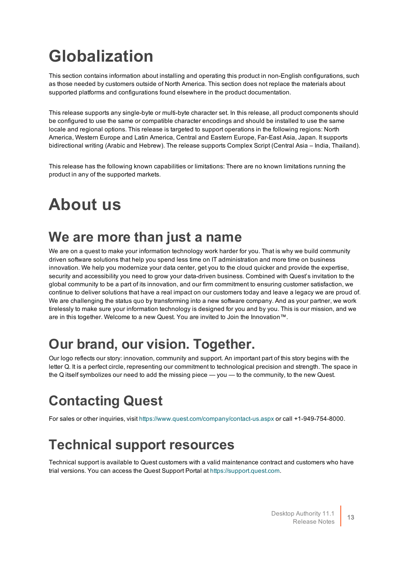# <span id="page-12-0"></span>**Globalization**

This section contains information about installing and operating this product in non-English configurations, such as those needed by customers outside of North America. This section does not replace the materials about supported platforms and configurations found elsewhere in the product documentation.

This release supports any single-byte or multi-byte character set. In this release, all product components should be configured to use the same or compatible character encodings and should be installed to use the same locale and regional options. This release is targeted to support operations in the following regions: North America, Western Europe and Latin America, Central and Eastern Europe, Far-East Asia, Japan. It supports bidirectional writing (Arabic and Hebrew). The release supports Complex Script (Central Asia – India, Thailand).

<span id="page-12-1"></span>This release has the following known capabilities or limitations: There are no known limitations running the product in any of the supported markets.

# **About us**

### **We are more than just a name**

We are on a quest to make your information technology work harder for you. That is why we build community driven software solutions that help you spend less time on IT administration and more time on business innovation. We help you modernize your data center, get you to the cloud quicker and provide the expertise, security and accessibility you need to grow your data-driven business. Combined with Quest's invitation to the global community to be a part of its innovation, and our firm commitment to ensuring customer satisfaction, we continue to deliver solutions that have a real impact on our customers today and leave a legacy we are proud of. We are challenging the status quo by transforming into a new software company. And as your partner, we work tirelessly to make sure your information technology is designed for you and by you. This is our mission, and we are in this together. Welcome to a new Quest. You are invited to Join the Innovation™.

### **Our brand, our vision. Together.**

Our logo reflects our story: innovation, community and support. An important part of this story begins with the letter Q. It is a perfect circle, representing our commitment to technological precision and strength. The space in the Q itself symbolizes our need to add the missing piece — you — to the community, to the new Quest.

## **Contacting Quest**

For sales or other inquiries, visit <https://www.quest.com/company/contact-us.aspx> or call +1-949-754-8000.

### **Technical support resources**

Technical support is available to Quest customers with a valid maintenance contract and customers who have trial versions. You can access the Quest Support Portal at [https://support.quest.com](https://support.quest.com/).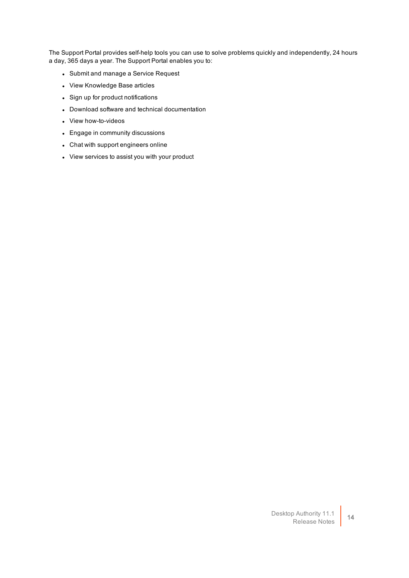The Support Portal provides self-help tools you can use to solve problems quickly and independently, 24 hours a day, 365 days a year. The Support Portal enables you to:

- Submit and manage a Service Request
- View Knowledge Base articles
- Sign up for product notifications
- Download software and technical documentation
- View how-to-videos
- Engage in community discussions
- Chat with support engineers online
- View services to assist you with your product